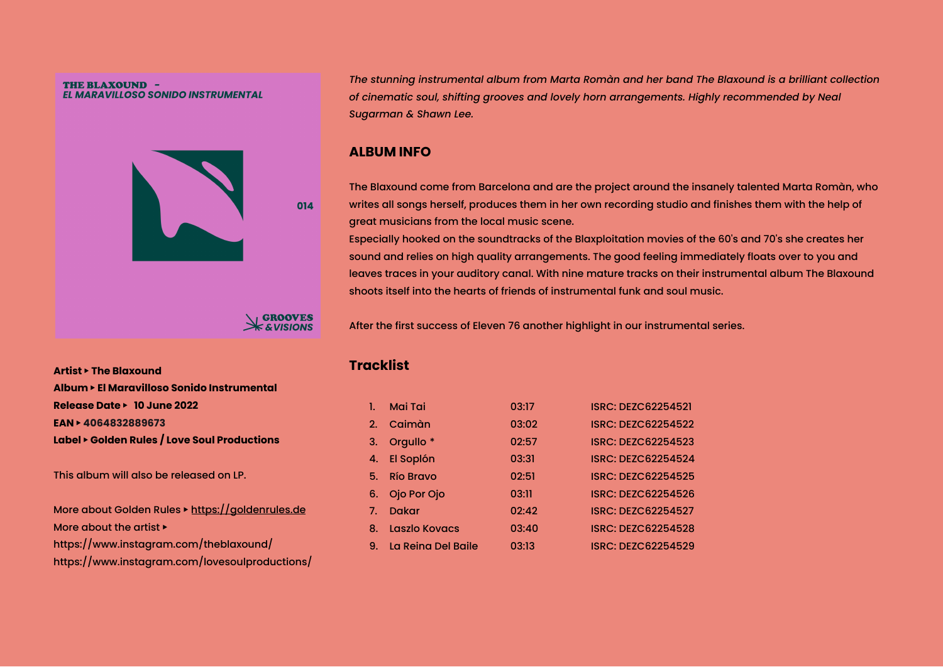#### THE BLAXOUND -EL MARAVILLOSO SONIDO INSTRUMENTAL



*The stunning instrumental album from Marta Romàn and her band The Blaxound is a brilliant collection of cinematic soul, shifting grooves and lovely horn arrangements. Highly recommended by Neal Sugarman & Shawn Lee.*

### **ALBUM INFO**

The Blaxound come from Barcelona and are the project around the insanely talented Marta Romàn, who writes all songs herself, produces them in her own recording studio and finishes them with the help of great musicians from the local music scene.

Especially hooked on the soundtracks of the Blaxploitation movies of the 60's and 70's she creates her sound and relies on high quality arrangements. The good feeling immediately floats over to you and leaves traces in your auditory canal. With nine mature tracks on their instrumental album The Blaxound shoots itself into the hearts of friends of instrumental funk and soul music.

After the first success of Eleven 76 another highlight in our instrumental series.

**Artist** ▶ **The Blaxound Album** ▶ **El Maravilloso Sonido Instrumental Release Date** ▶ **10 June 2022 EAN** ▶ **4064832889673 Label** ▶ **Golden Rules / Love Soul Productions**

This album will also be released on LP.

More about Golden Rules ▶ <https://goldenrules.de> More about the artist  $\blacktriangleright$ https://www.instagram.com/theblaxound/ https://www.instagram.com/lovesoulproductions/

# **Tracklist**

|    | Mai Tai              | 03:17 | <b>ISRC: DEZC62254521</b> |
|----|----------------------|-------|---------------------------|
|    | 2. Caimàn            | 03:02 | <b>ISRC: DEZC62254522</b> |
| 3. | Orgullo <sup>*</sup> | 02:57 | <b>ISRC: DEZC62254523</b> |
|    | 4. El Soplón         | 03:31 | <b>ISRC: DEZC62254524</b> |
|    | 5. Río Bravo         | 02:51 | <b>ISRC: DEZC62254525</b> |
| 6. | Ojo Por Ojo          | 03:11 | <b>ISRC: DEZC62254526</b> |
| 7. | <b>Dakar</b>         | 02:42 | <b>ISRC: DEZC62254527</b> |
| 8. | <b>Laszlo Kovacs</b> | 03:40 | <b>ISRC: DEZC62254528</b> |
| 9. | La Reina Del Baile   | 03:13 | <b>ISRC: DEZC62254529</b> |